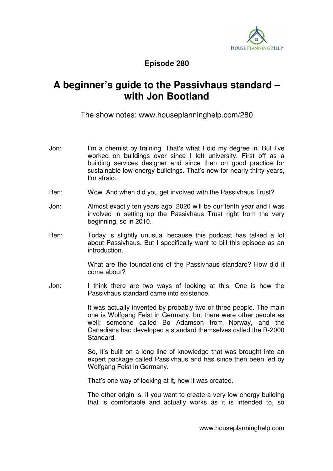

## **Episode 280**

## **A beginner's guide to the Passivhaus standard – with Jon Bootland**

The show notes: www.houseplanninghelp.com/280

- Jon: I'm a chemist by training. That's what I did my degree in. But I've worked on buildings ever since I left university. First off as a building services designer and since then on good practice for sustainable low-energy buildings. That's now for nearly thirty years, I'm afraid.
- Ben: Wow. And when did you get involved with the Passivhaus Trust?
- Jon: Almost exactly ten years ago. 2020 will be our tenth year and I was involved in setting up the Passivhaus Trust right from the very beginning, so in 2010.
- Ben: Today is slightly unusual because this podcast has talked a lot about Passivhaus. But I specifically want to bill this episode as an introduction.

 What are the foundations of the Passivhaus standard? How did it come about?

Jon: I think there are two ways of looking at this. One is how the Passivhaus standard came into existence.

> It was actually invented by probably two or three people. The main one is Wolfgang Feist in Germany, but there were other people as well; someone called Bo Adamson from Norway, and the Canadians had developed a standard themselves called the R-2000 Standard.

> So, it's built on a long line of knowledge that was brought into an expert package called Passivhaus and has since then been led by Wolfgang Feist in Germany.

That's one way of looking at it, how it was created.

 The other origin is, if you want to create a very low energy building that is comfortable and actually works as it is intended to, so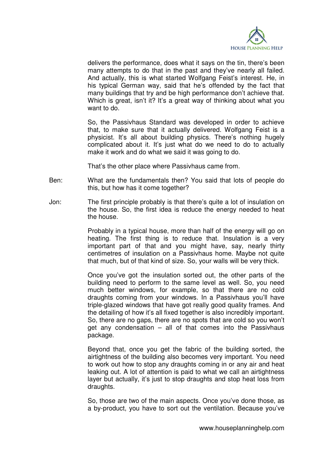

delivers the performance, does what it says on the tin, there's been many attempts to do that in the past and they've nearly all failed. And actually, this is what started Wolfgang Feist's interest. He, in his typical German way, said that he's offended by the fact that many buildings that try and be high performance don't achieve that. Which is great, isn't it? It's a great way of thinking about what you want to do.

 So, the Passivhaus Standard was developed in order to achieve that, to make sure that it actually delivered. Wolfgang Feist is a physicist. It's all about building physics. There's nothing hugely complicated about it. It's just what do we need to do to actually make it work and do what we said it was going to do.

That's the other place where Passivhaus came from.

- Ben: What are the fundamentals then? You said that lots of people do this, but how has it come together?
- Jon: The first principle probably is that there's quite a lot of insulation on the house. So, the first idea is reduce the energy needed to heat the house.

 Probably in a typical house, more than half of the energy will go on heating. The first thing is to reduce that. Insulation is a very important part of that and you might have, say, nearly thirty centimetres of insulation on a Passivhaus home. Maybe not quite that much, but of that kind of size. So, your walls will be very thick.

 Once you've got the insulation sorted out, the other parts of the building need to perform to the same level as well. So, you need much better windows, for example, so that there are no cold draughts coming from your windows. In a Passivhaus you'll have triple-glazed windows that have got really good quality frames. And the detailing of how it's all fixed together is also incredibly important. So, there are no gaps, there are no spots that are cold so you won't get any condensation – all of that comes into the Passivhaus package.

 Beyond that, once you get the fabric of the building sorted, the airtightness of the building also becomes very important. You need to work out how to stop any draughts coming in or any air and heat leaking out. A lot of attention is paid to what we call an airtightness layer but actually, it's just to stop draughts and stop heat loss from draughts.

 So, those are two of the main aspects. Once you've done those, as a by-product, you have to sort out the ventilation. Because you've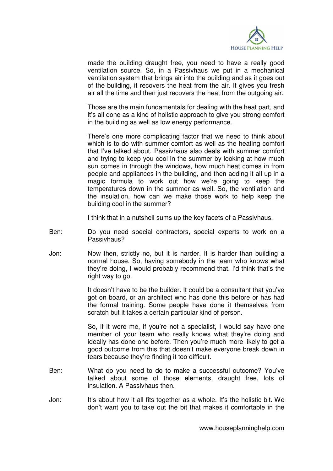

made the building draught free, you need to have a really good ventilation source. So, in a Passivhaus we put in a mechanical ventilation system that brings air into the building and as it goes out of the building, it recovers the heat from the air. It gives you fresh air all the time and then just recovers the heat from the outgoing air.

 Those are the main fundamentals for dealing with the heat part, and it's all done as a kind of holistic approach to give you strong comfort in the building as well as low energy performance.

 There's one more complicating factor that we need to think about which is to do with summer comfort as well as the heating comfort that I've talked about. Passivhaus also deals with summer comfort and trying to keep you cool in the summer by looking at how much sun comes in through the windows, how much heat comes in from people and appliances in the building, and then adding it all up in a magic formula to work out how we're going to keep the temperatures down in the summer as well. So, the ventilation and the insulation, how can we make those work to help keep the building cool in the summer?

I think that in a nutshell sums up the key facets of a Passivhaus.

- Ben: Do you need special contractors, special experts to work on a Passivhaus?
- Jon: Now then, strictly no, but it is harder. It is harder than building a normal house. So, having somebody in the team who knows what they're doing, I would probably recommend that. I'd think that's the right way to go.

 It doesn't have to be the builder. It could be a consultant that you've got on board, or an architect who has done this before or has had the formal training. Some people have done it themselves from scratch but it takes a certain particular kind of person.

 So, if it were me, if you're not a specialist, I would say have one member of your team who really knows what they're doing and ideally has done one before. Then you're much more likely to get a good outcome from this that doesn't make everyone break down in tears because they're finding it too difficult.

- Ben: What do you need to do to make a successful outcome? You've talked about some of those elements, draught free, lots of insulation. A Passivhaus then.
- Jon: It's about how it all fits together as a whole. It's the holistic bit. We don't want you to take out the bit that makes it comfortable in the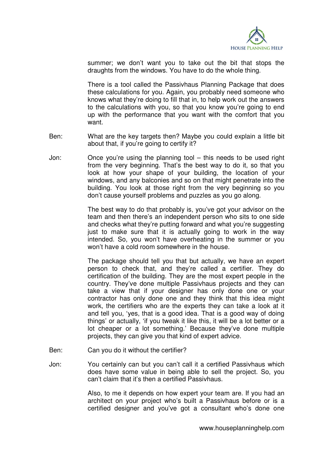

summer; we don't want you to take out the bit that stops the draughts from the windows. You have to do the whole thing.

 There is a tool called the Passivhaus Planning Package that does these calculations for you. Again, you probably need someone who knows what they're doing to fill that in, to help work out the answers to the calculations with you, so that you know you're going to end up with the performance that you want with the comfort that you want.

- Ben: What are the key targets then? Maybe you could explain a little bit about that, if you're going to certify it?
- Jon: Once you're using the planning tool this needs to be used right from the very beginning. That's the best way to do it, so that you look at how your shape of your building, the location of your windows, and any balconies and so on that might penetrate into the building. You look at those right from the very beginning so you don't cause yourself problems and puzzles as you go along.

 The best way to do that probably is, you've got your advisor on the team and then there's an independent person who sits to one side and checks what they're putting forward and what you're suggesting just to make sure that it is actually going to work in the way intended. So, you won't have overheating in the summer or you won't have a cold room somewhere in the house.

 The package should tell you that but actually, we have an expert person to check that, and they're called a certifier. They do certification of the building. They are the most expert people in the country. They've done multiple Passivhaus projects and they can take a view that if your designer has only done one or your contractor has only done one and they think that this idea might work, the certifiers who are the experts they can take a look at it and tell you, 'yes, that is a good idea. That is a good way of doing things' or actually, 'if you tweak it like this, it will be a lot better or a lot cheaper or a lot something.' Because they've done multiple projects, they can give you that kind of expert advice.

- Ben: Can you do it without the certifier?
- Jon: You certainly can but you can't call it a certified Passivhaus which does have some value in being able to sell the project. So, you can't claim that it's then a certified Passivhaus.

 Also, to me it depends on how expert your team are. If you had an architect on your project who's built a Passivhaus before or is a certified designer and you've got a consultant who's done one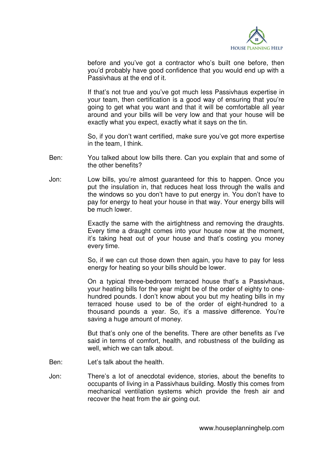

before and you've got a contractor who's built one before, then you'd probably have good confidence that you would end up with a Passivhaus at the end of it.

 If that's not true and you've got much less Passivhaus expertise in your team, then certification is a good way of ensuring that you're going to get what you want and that it will be comfortable all year around and your bills will be very low and that your house will be exactly what you expect, exactly what it says on the tin.

 So, if you don't want certified, make sure you've got more expertise in the team, I think.

- Ben: You talked about low bills there. Can you explain that and some of the other benefits?
- Jon: Low bills, you're almost guaranteed for this to happen. Once you put the insulation in, that reduces heat loss through the walls and the windows so you don't have to put energy in. You don't have to pay for energy to heat your house in that way. Your energy bills will be much lower.

 Exactly the same with the airtightness and removing the draughts. Every time a draught comes into your house now at the moment, it's taking heat out of your house and that's costing you money every time.

 So, if we can cut those down then again, you have to pay for less energy for heating so your bills should be lower.

 On a typical three-bedroom terraced house that's a Passivhaus, your heating bills for the year might be of the order of eighty to onehundred pounds. I don't know about you but my heating bills in my terraced house used to be of the order of eight-hundred to a thousand pounds a year. So, it's a massive difference. You're saving a huge amount of money.

 But that's only one of the benefits. There are other benefits as I've said in terms of comfort, health, and robustness of the building as well, which we can talk about.

- Ben: Let's talk about the health.
- Jon: There's a lot of anecdotal evidence, stories, about the benefits to occupants of living in a Passivhaus building. Mostly this comes from mechanical ventilation systems which provide the fresh air and recover the heat from the air going out.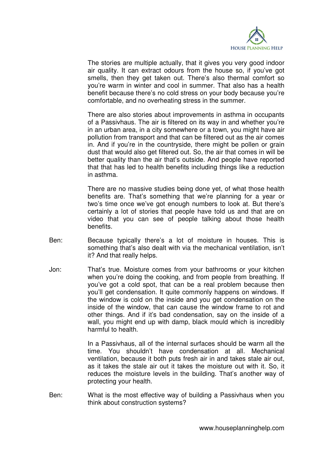

 The stories are multiple actually, that it gives you very good indoor air quality. It can extract odours from the house so, if you've got smells, then they get taken out. There's also thermal comfort so you're warm in winter and cool in summer. That also has a health benefit because there's no cold stress on your body because you're comfortable, and no overheating stress in the summer.

 There are also stories about improvements in asthma in occupants of a Passivhaus. The air is filtered on its way in and whether you're in an urban area, in a city somewhere or a town, you might have air pollution from transport and that can be filtered out as the air comes in. And if you're in the countryside, there might be pollen or grain dust that would also get filtered out. So, the air that comes in will be better quality than the air that's outside. And people have reported that that has led to health benefits including things like a reduction in asthma.

 There are no massive studies being done yet, of what those health benefits are. That's something that we're planning for a year or two's time once we've got enough numbers to look at. But there's certainly a lot of stories that people have told us and that are on video that you can see of people talking about those health benefits.

- Ben: Because typically there's a lot of moisture in houses. This is something that's also dealt with via the mechanical ventilation, isn't it? And that really helps.
- Jon: That's true. Moisture comes from your bathrooms or your kitchen when you're doing the cooking, and from people from breathing. If you've got a cold spot, that can be a real problem because then you'll get condensation. It quite commonly happens on windows. If the window is cold on the inside and you get condensation on the inside of the window, that can cause the window frame to rot and other things. And if it's bad condensation, say on the inside of a wall, you might end up with damp, black mould which is incredibly harmful to health.

 In a Passivhaus, all of the internal surfaces should be warm all the time. You shouldn't have condensation at all. Mechanical ventilation, because it both puts fresh air in and takes stale air out, as it takes the stale air out it takes the moisture out with it. So, it reduces the moisture levels in the building. That's another way of protecting your health.

Ben: What is the most effective way of building a Passivhaus when you think about construction systems?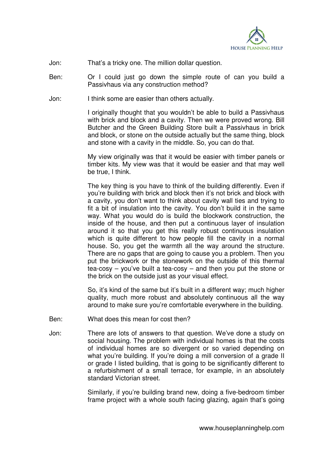

## Jon: That's a tricky one. The million dollar question.

- Ben: Or I could just go down the simple route of can you build a Passivhaus via any construction method?
- Jon: I think some are easier than others actually.

 I originally thought that you wouldn't be able to build a Passivhaus with brick and block and a cavity. Then we were proved wrong. Bill Butcher and the Green Building Store built a Passivhaus in brick and block, or stone on the outside actually but the same thing, block and stone with a cavity in the middle. So, you can do that.

 My view originally was that it would be easier with timber panels or timber kits. My view was that it would be easier and that may well be true, I think.

 The key thing is you have to think of the building differently. Even if you're building with brick and block then it's not brick and block with a cavity, you don't want to think about cavity wall ties and trying to fit a bit of insulation into the cavity. You don't build it in the same way. What you would do is build the blockwork construction, the inside of the house, and then put a continuous layer of insulation around it so that you get this really robust continuous insulation which is quite different to how people fill the cavity in a normal house. So, you get the warmth all the way around the structure. There are no gaps that are going to cause you a problem. Then you put the brickwork or the stonework on the outside of this thermal tea-cosy – you've built a tea-cosy – and then you put the stone or the brick on the outside just as your visual effect.

 So, it's kind of the same but it's built in a different way; much higher quality, much more robust and absolutely continuous all the way around to make sure you're comfortable everywhere in the building.

- Ben: What does this mean for cost then?
- Jon: There are lots of answers to that question. We've done a study on social housing. The problem with individual homes is that the costs of individual homes are so divergent or so varied depending on what you're building. If you're doing a mill conversion of a grade II or grade I listed building, that is going to be significantly different to a refurbishment of a small terrace, for example, in an absolutely standard Victorian street.

 Similarly, if you're building brand new, doing a five-bedroom timber frame project with a whole south facing glazing, again that's going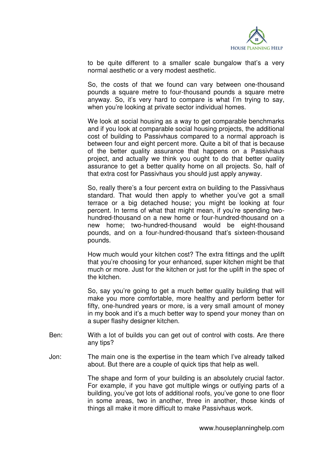

to be quite different to a smaller scale bungalow that's a very normal aesthetic or a very modest aesthetic.

 So, the costs of that we found can vary between one-thousand pounds a square metre to four-thousand pounds a square metre anyway. So, it's very hard to compare is what I'm trying to say, when you're looking at private sector individual homes.

 We look at social housing as a way to get comparable benchmarks and if you look at comparable social housing projects, the additional cost of building to Passivhaus compared to a normal approach is between four and eight percent more. Quite a bit of that is because of the better quality assurance that happens on a Passivhaus project, and actually we think you ought to do that better quality assurance to get a better quality home on all projects. So, half of that extra cost for Passivhaus you should just apply anyway.

 So, really there's a four percent extra on building to the Passivhaus standard. That would then apply to whether you've got a small terrace or a big detached house; you might be looking at four percent. In terms of what that might mean, if you're spending twohundred-thousand on a new home or four-hundred-thousand on a new home; two-hundred-thousand would be eight-thousand pounds, and on a four-hundred-thousand that's sixteen-thousand pounds.

 How much would your kitchen cost? The extra fittings and the uplift that you're choosing for your enhanced, super kitchen might be that much or more. Just for the kitchen or just for the uplift in the spec of the kitchen.

So, say you're going to get a much better quality building that will make you more comfortable, more healthy and perform better for fifty, one-hundred years or more, is a very small amount of money in my book and it's a much better way to spend your money than on a super flashy designer kitchen.

- Ben: With a lot of builds you can get out of control with costs. Are there any tips?
- Jon: The main one is the expertise in the team which I've already talked about. But there are a couple of quick tips that help as well.

 The shape and form of your building is an absolutely crucial factor. For example, if you have got multiple wings or outlying parts of a building, you've got lots of additional roofs, you've gone to one floor in some areas, two in another, three in another, those kinds of things all make it more difficult to make Passivhaus work.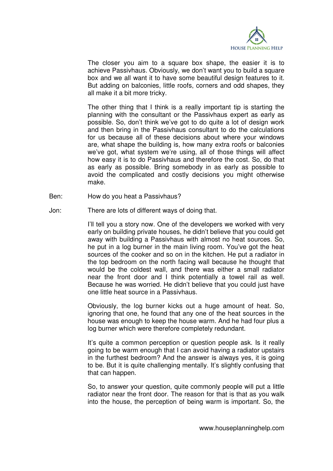

 The closer you aim to a square box shape, the easier it is to achieve Passivhaus. Obviously, we don't want you to build a square box and we all want it to have some beautiful design features to it. But adding on balconies, little roofs, corners and odd shapes, they all make it a bit more tricky.

 The other thing that I think is a really important tip is starting the planning with the consultant or the Passivhaus expert as early as possible. So, don't think we've got to do quite a lot of design work and then bring in the Passivhaus consultant to do the calculations for us because all of these decisions about where your windows are, what shape the building is, how many extra roofs or balconies we've got, what system we're using, all of those things will affect how easy it is to do Passivhaus and therefore the cost. So, do that as early as possible. Bring somebody in as early as possible to avoid the complicated and costly decisions you might otherwise make.

Ben: How do you heat a Passivhaus?

Jon: There are lots of different ways of doing that.

I'll tell you a story now. One of the developers we worked with very early on building private houses, he didn't believe that you could get away with building a Passivhaus with almost no heat sources. So, he put in a log burner in the main living room. You've got the heat sources of the cooker and so on in the kitchen. He put a radiator in the top bedroom on the north facing wall because he thought that would be the coldest wall, and there was either a small radiator near the front door and I think potentially a towel rail as well. Because he was worried. He didn't believe that you could just have one little heat source in a Passivhaus.

 Obviously, the log burner kicks out a huge amount of heat. So, ignoring that one, he found that any one of the heat sources in the house was enough to keep the house warm. And he had four plus a log burner which were therefore completely redundant.

 It's quite a common perception or question people ask. Is it really going to be warm enough that I can avoid having a radiator upstairs in the furthest bedroom? And the answer is always yes, it is going to be. But it is quite challenging mentally. It's slightly confusing that that can happen.

 So, to answer your question, quite commonly people will put a little radiator near the front door. The reason for that is that as you walk into the house, the perception of being warm is important. So, the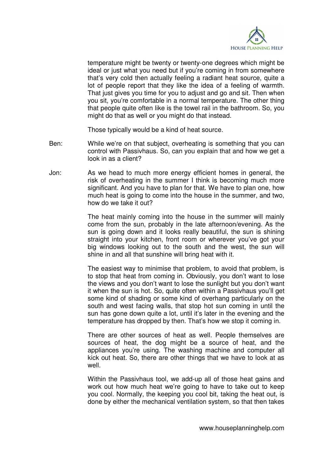

temperature might be twenty or twenty-one degrees which might be ideal or just what you need but if you're coming in from somewhere that's very cold then actually feeling a radiant heat source, quite a lot of people report that they like the idea of a feeling of warmth. That just gives you time for you to adjust and go and sit. Then when you sit, you're comfortable in a normal temperature. The other thing that people quite often like is the towel rail in the bathroom. So, you might do that as well or you might do that instead.

Those typically would be a kind of heat source.

- Ben: While we're on that subject, overheating is something that you can control with Passivhaus. So, can you explain that and how we get a look in as a client?
- Jon: As we head to much more energy efficient homes in general, the risk of overheating in the summer I think is becoming much more significant. And you have to plan for that. We have to plan one, how much heat is going to come into the house in the summer, and two, how do we take it out?

 The heat mainly coming into the house in the summer will mainly come from the sun, probably in the late afternoon/evening. As the sun is going down and it looks really beautiful, the sun is shining straight into your kitchen, front room or wherever you've got your big windows looking out to the south and the west, the sun will shine in and all that sunshine will bring heat with it.

 The easiest way to minimise that problem, to avoid that problem, is to stop that heat from coming in. Obviously, you don't want to lose the views and you don't want to lose the sunlight but you don't want it when the sun is hot. So, quite often within a Passivhaus you'll get some kind of shading or some kind of overhang particularly on the south and west facing walls, that stop hot sun coming in until the sun has gone down quite a lot, until it's later in the evening and the temperature has dropped by then. That's how we stop it coming in.

 There are other sources of heat as well. People themselves are sources of heat, the dog might be a source of heat, and the appliances you're using. The washing machine and computer all kick out heat. So, there are other things that we have to look at as well.

 Within the Passivhaus tool, we add-up all of those heat gains and work out how much heat we're going to have to take out to keep you cool. Normally, the keeping you cool bit, taking the heat out, is done by either the mechanical ventilation system, so that then takes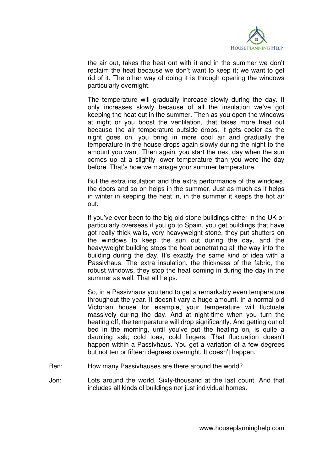

the air out, takes the heat out with it and in the summer we don't reclaim the heat because we don't want to keep it; we want to get rid of it. The other way of doing it is through opening the windows particularly overnight.

 The temperature will gradually increase slowly during the day. It only increases slowly because of all the insulation we've got keeping the heat out in the summer. Then as you open the windows at night or you boost the ventilation, that takes more heat out because the air temperature outside drops, it gets cooler as the night goes on, you bring in more cool air and gradually the temperature in the house drops again slowly during the night to the amount you want. Then again, you start the next day when the sun comes up at a slightly lower temperature than you were the day before. That's how we manage your summer temperature.

 But the extra insulation and the extra performance of the windows, the doors and so on helps in the summer. Just as much as it helps in winter in keeping the heat in, in the summer it keeps the hot air out.

 If you've ever been to the big old stone buildings either in the UK or particularly overseas if you go to Spain, you get buildings that have got really thick walls, very heavyweight stone, they put shutters on the windows to keep the sun out during the day, and the heavyweight building stops the heat penetrating all the way into the building during the day. It's exactly the same kind of idea with a Passivhaus. The extra insulation, the thickness of the fabric, the robust windows, they stop the heat coming in during the day in the summer as well. That all helps.

 So, in a Passivhaus you tend to get a remarkably even temperature throughout the year. It doesn't vary a huge amount. In a normal old Victorian house for example, your temperature will fluctuate massively during the day. And at night-time when you turn the heating off, the temperature will drop significantly. And getting out of bed in the morning, until you've put the heating on, is quite a daunting ask; cold toes, cold fingers. That fluctuation doesn't happen within a Passivhaus. You get a variation of a few degrees but not ten or fifteen degrees overnight. It doesn't happen.

- Ben: How many Passivhauses are there around the world?
- Jon: Lots around the world. Sixty-thousand at the last count. And that includes all kinds of buildings not just individual homes.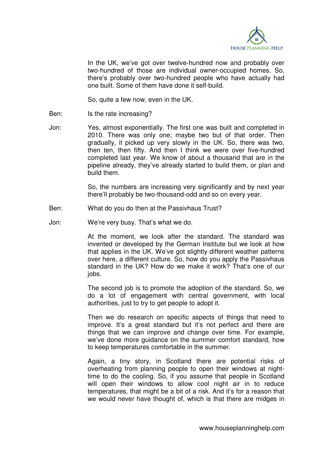

 In the UK, we've got over twelve-hundred now and probably over two-hundred of those are individual owner-occupied homes. So, there's probably over two-hundred people who have actually had one built. Some of them have done it self-build.

So, quite a few now, even in the UK.

- Ben: Is the rate increasing?
- Jon: Yes, almost exponentially. The first one was built and completed in 2010. There was only one; maybe two but of that order. Then gradually, it picked up very slowly in the UK. So, there was two, then ten, then fifty. And then I think we were over five-hundred completed last year. We know of about a thousand that are in the pipeline already, they've already started to build them, or plan and build them.

 So, the numbers are increasing very significantly and by next year there'll probably be two-thousand-odd and so on every year.

- Ben: What do you do then at the Passivhaus Trust?
- Jon: We're very busy. That's what we do.

 At the moment, we look after the standard. The standard was invented or developed by the German Institute but we look at how that applies in the UK. We've got slightly different weather patterns over here, a different culture. So, how do you apply the Passivhaus standard in the UK? How do we make it work? That's one of our jobs.

 The second job is to promote the adoption of the standard. So, we do a lot of engagement with central government, with local authorities, just to try to get people to adopt it.

 Then we do research on specific aspects of things that need to improve. It's a great standard but it's not perfect and there are things that we can improve and change over time. For example, we've done more guidance on the summer comfort standard, how to keep temperatures comfortable in the summer.

 Again, a tiny story, in Scotland there are potential risks of overheating from planning people to open their windows at nighttime to do the cooling. So, if you assume that people in Scotland will open their windows to allow cool night air in to reduce temperatures, that might be a bit of a risk. And it's for a reason that we would never have thought of, which is that there are midges in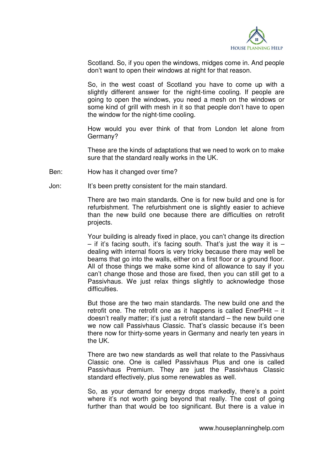

Scotland. So, if you open the windows, midges come in. And people don't want to open their windows at night for that reason.

 So, in the west coast of Scotland you have to come up with a slightly different answer for the night-time cooling. If people are going to open the windows, you need a mesh on the windows or some kind of grill with mesh in it so that people don't have to open the window for the night-time cooling.

 How would you ever think of that from London let alone from Germany?

 These are the kinds of adaptations that we need to work on to make sure that the standard really works in the UK.

- Ben: How has it changed over time?
- Jon: It's been pretty consistent for the main standard.

 There are two main standards. One is for new build and one is for refurbishment. The refurbishment one is slightly easier to achieve than the new build one because there are difficulties on retrofit projects.

 Your building is already fixed in place, you can't change its direction  $-$  if it's facing south, it's facing south. That's just the way it is  $$ dealing with internal floors is very tricky because there may well be beams that go into the walls, either on a first floor or a ground floor. All of those things we make some kind of allowance to say if you can't change those and those are fixed, then you can still get to a Passivhaus. We just relax things slightly to acknowledge those difficulties.

 But those are the two main standards. The new build one and the retrofit one. The retrofit one as it happens is called EnerPHit – it doesn't really matter; it's just a retrofit standard – the new build one we now call Passivhaus Classic. That's classic because it's been there now for thirty-some years in Germany and nearly ten years in the UK.

 There are two new standards as well that relate to the Passivhaus Classic one. One is called Passivhaus Plus and one is called Passivhaus Premium. They are just the Passivhaus Classic standard effectively, plus some renewables as well.

 So, as your demand for energy drops markedly, there's a point where it's not worth going beyond that really. The cost of going further than that would be too significant. But there is a value in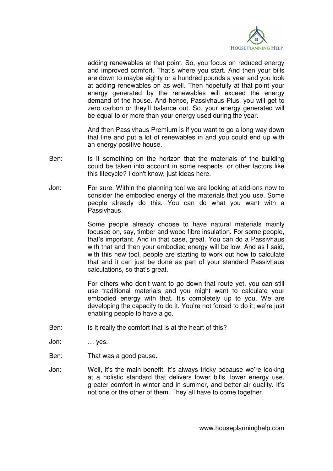

adding renewables at that point. So, you focus on reduced energy and improved comfort. That's where you start. And then your bills are down to maybe eighty or a hundred pounds a year and you look at adding renewables on as well. Then hopefully at that point your energy generated by the renewables will exceed the energy demand of the house. And hence, Passivhaus Plus, you will get to zero carbon or they'll balance out. So, your energy generated will be equal to or more than your energy used during the year.

 And then Passivhaus Premium is if you want to go a long way down that line and put a lot of renewables in and you could end up with an energy positive house.

- Ben: Is it something on the horizon that the materials of the building could be taken into account in some respects, or other factors like this lifecycle? I don't know, just ideas here.
- Jon: For sure. Within the planning tool we are looking at add-ons now to consider the embodied energy of the materials that you use. Some people already do this. You can do what you want with a Passivhaus.

 Some people already choose to have natural materials mainly focused on, say, timber and wood fibre insulation. For some people, that's important. And in that case, great. You can do a Passivhaus with that and then your embodied energy will be low. And as I said, with this new tool, people are starting to work out how to calculate that and it can just be done as part of your standard Passivhaus calculations, so that's great.

 For others who don't want to go down that route yet, you can still use traditional materials and you might want to calculate your embodied energy with that. It's completely up to you. We are developing the capacity to do it. You're not forced to do it; we're just enabling people to have a go.

- Ben: Is it really the comfort that is at the heart of this?
- Jon: … yes.
- Ben: That was a good pause.
- Jon: Well, it's the main benefit. It's always tricky because we're looking at a holistic standard that delivers lower bills, lower energy use, greater comfort in winter and in summer, and better air quality. It's not one or the other of them. They all have to come together.